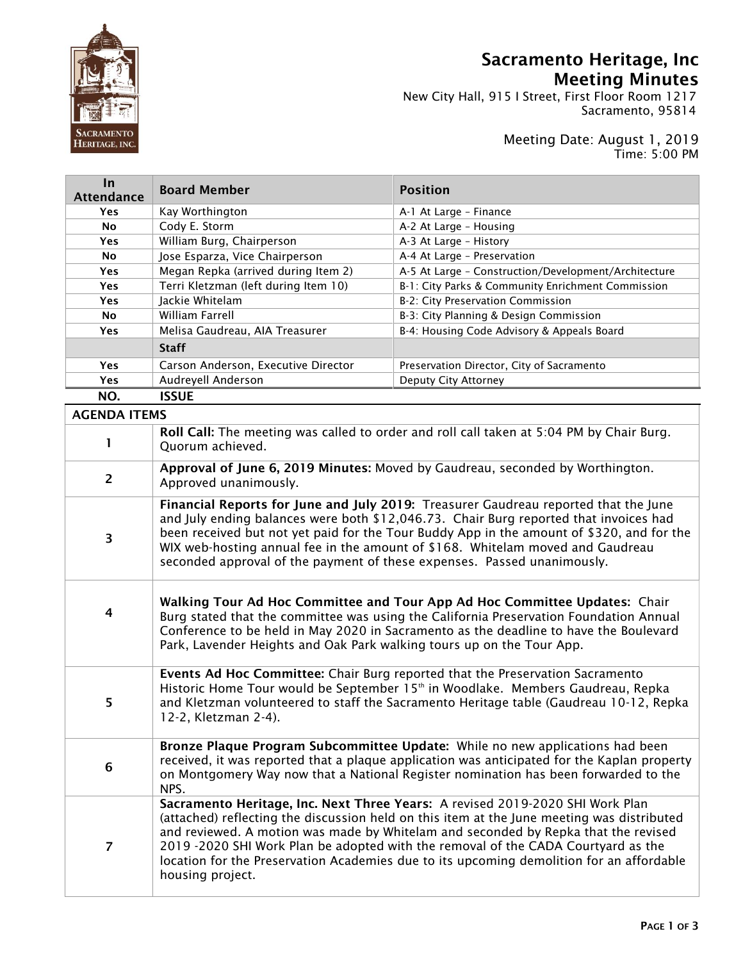

In

## Sacramento Heritage, Inc Meeting Minutes

 $\frac{1}{N}$  New City Hall, 915 I Street, First Floor Room 1217  $\|\mathbf{S}\|$  Sacramento, 95814

## Meeting Date: August 1, 2019 Time: 5:00 PM

| <b>Attendance</b>   | <b>Board Member</b>                                                                                                                                                                                                                                                                                                                                                                                                                                                    | <b>Position</b>                                                                          |
|---------------------|------------------------------------------------------------------------------------------------------------------------------------------------------------------------------------------------------------------------------------------------------------------------------------------------------------------------------------------------------------------------------------------------------------------------------------------------------------------------|------------------------------------------------------------------------------------------|
| <b>Yes</b>          | Kay Worthington                                                                                                                                                                                                                                                                                                                                                                                                                                                        | A-1 At Large - Finance                                                                   |
| No                  | Cody E. Storm                                                                                                                                                                                                                                                                                                                                                                                                                                                          | A-2 At Large - Housing                                                                   |
| Yes                 | William Burg, Chairperson                                                                                                                                                                                                                                                                                                                                                                                                                                              | A-3 At Large - History                                                                   |
| No                  | Jose Esparza, Vice Chairperson                                                                                                                                                                                                                                                                                                                                                                                                                                         | A-4 At Large - Preservation                                                              |
| Yes                 | Megan Repka (arrived during Item 2)                                                                                                                                                                                                                                                                                                                                                                                                                                    | A-5 At Large - Construction/Development/Architecture                                     |
| Yes                 | Terri Kletzman (left during Item 10)                                                                                                                                                                                                                                                                                                                                                                                                                                   | B-1: City Parks & Community Enrichment Commission                                        |
| <b>Yes</b>          | Jackie Whitelam                                                                                                                                                                                                                                                                                                                                                                                                                                                        | B-2: City Preservation Commission                                                        |
| No                  | William Farrell                                                                                                                                                                                                                                                                                                                                                                                                                                                        | B-3: City Planning & Design Commission                                                   |
| Yes                 | Melisa Gaudreau, AIA Treasurer                                                                                                                                                                                                                                                                                                                                                                                                                                         | B-4: Housing Code Advisory & Appeals Board                                               |
|                     | <b>Staff</b>                                                                                                                                                                                                                                                                                                                                                                                                                                                           |                                                                                          |
| Yes                 | Carson Anderson, Executive Director                                                                                                                                                                                                                                                                                                                                                                                                                                    | Preservation Director, City of Sacramento                                                |
| <b>Yes</b>          | Audreyell Anderson                                                                                                                                                                                                                                                                                                                                                                                                                                                     | Deputy City Attorney                                                                     |
| NO.                 | <b>ISSUE</b>                                                                                                                                                                                                                                                                                                                                                                                                                                                           |                                                                                          |
| <b>AGENDA ITEMS</b> |                                                                                                                                                                                                                                                                                                                                                                                                                                                                        |                                                                                          |
| 1                   | Quorum achieved.                                                                                                                                                                                                                                                                                                                                                                                                                                                       | Roll Call: The meeting was called to order and roll call taken at 5:04 PM by Chair Burg. |
| $\overline{2}$      | Approval of June 6, 2019 Minutes: Moved by Gaudreau, seconded by Worthington.<br>Approved unanimously.                                                                                                                                                                                                                                                                                                                                                                 |                                                                                          |
| 3                   | Financial Reports for June and July 2019: Treasurer Gaudreau reported that the June<br>and July ending balances were both \$12,046.73. Chair Burg reported that invoices had<br>been received but not yet paid for the Tour Buddy App in the amount of \$320, and for the<br>WIX web-hosting annual fee in the amount of \$168. Whitelam moved and Gaudreau<br>seconded approval of the payment of these expenses. Passed unanimously.                                 |                                                                                          |
| 4                   | Walking Tour Ad Hoc Committee and Tour App Ad Hoc Committee Updates: Chair<br>Burg stated that the committee was using the California Preservation Foundation Annual<br>Conference to be held in May 2020 in Sacramento as the deadline to have the Boulevard<br>Park, Lavender Heights and Oak Park walking tours up on the Tour App.                                                                                                                                 |                                                                                          |
| 5                   | Events Ad Hoc Committee: Chair Burg reported that the Preservation Sacramento<br>Historic Home Tour would be September 15 <sup>th</sup> in Woodlake. Members Gaudreau, Repka<br>and Kletzman volunteered to staff the Sacramento Heritage table (Gaudreau 10-12, Repka<br>12-2, Kletzman 2-4).                                                                                                                                                                         |                                                                                          |
| 6                   | Bronze Plaque Program Subcommittee Update: While no new applications had been<br>received, it was reported that a plaque application was anticipated for the Kaplan property<br>on Montgomery Way now that a National Register nomination has been forwarded to the<br>NPS.                                                                                                                                                                                            |                                                                                          |
| $\overline{7}$      | Sacramento Heritage, Inc. Next Three Years: A revised 2019-2020 SHI Work Plan<br>(attached) reflecting the discussion held on this item at the June meeting was distributed<br>and reviewed. A motion was made by Whitelam and seconded by Repka that the revised<br>2019 -2020 SHI Work Plan be adopted with the removal of the CADA Courtyard as the<br>location for the Preservation Academies due to its upcoming demolition for an affordable<br>housing project. |                                                                                          |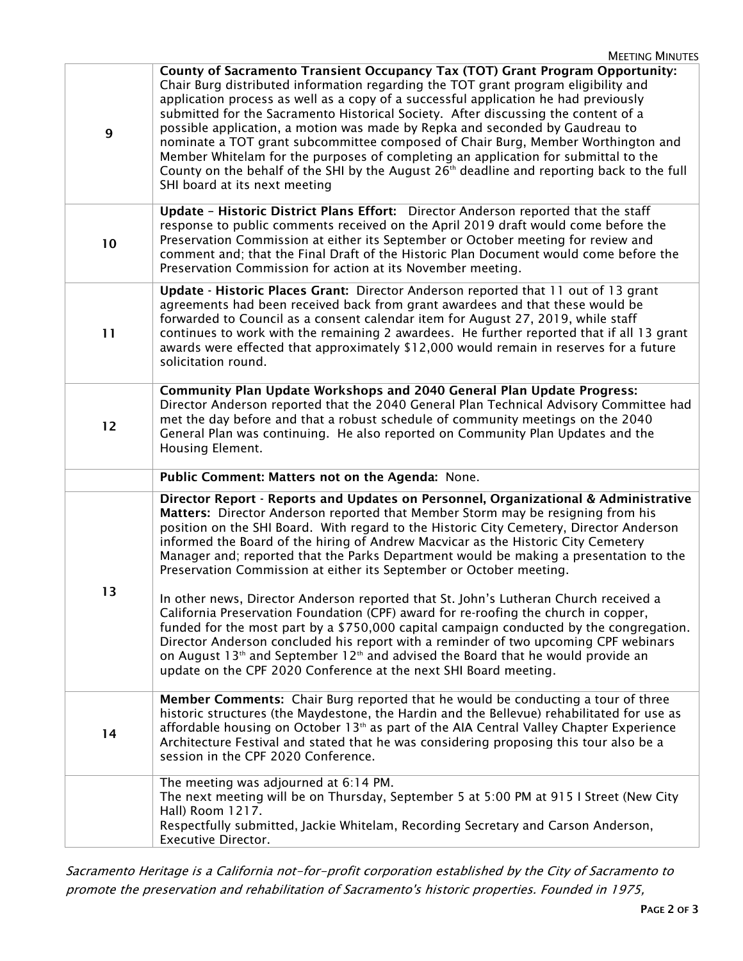| $\mathbf{9}$ | County of Sacramento Transient Occupancy Tax (TOT) Grant Program Opportunity:<br>Chair Burg distributed information regarding the TOT grant program eligibility and<br>application process as well as a copy of a successful application he had previously<br>submitted for the Sacramento Historical Society. After discussing the content of a<br>possible application, a motion was made by Repka and seconded by Gaudreau to<br>nominate a TOT grant subcommittee composed of Chair Burg, Member Worthington and<br>Member Whitelam for the purposes of completing an application for submittal to the<br>County on the behalf of the SHI by the August 26 <sup>th</sup> deadline and reporting back to the full<br>SHI board at its next meeting |  |  |
|--------------|-------------------------------------------------------------------------------------------------------------------------------------------------------------------------------------------------------------------------------------------------------------------------------------------------------------------------------------------------------------------------------------------------------------------------------------------------------------------------------------------------------------------------------------------------------------------------------------------------------------------------------------------------------------------------------------------------------------------------------------------------------|--|--|
| 10           | Update - Historic District Plans Effort: Director Anderson reported that the staff<br>response to public comments received on the April 2019 draft would come before the<br>Preservation Commission at either its September or October meeting for review and<br>comment and; that the Final Draft of the Historic Plan Document would come before the<br>Preservation Commission for action at its November meeting.                                                                                                                                                                                                                                                                                                                                 |  |  |
| 11           | Update - Historic Places Grant: Director Anderson reported that 11 out of 13 grant<br>agreements had been received back from grant awardees and that these would be<br>forwarded to Council as a consent calendar item for August 27, 2019, while staff<br>continues to work with the remaining 2 awardees. He further reported that if all 13 grant<br>awards were effected that approximately \$12,000 would remain in reserves for a future<br>solicitation round.                                                                                                                                                                                                                                                                                 |  |  |
| 12           | <b>Community Plan Update Workshops and 2040 General Plan Update Progress:</b><br>Director Anderson reported that the 2040 General Plan Technical Advisory Committee had<br>met the day before and that a robust schedule of community meetings on the 2040<br>General Plan was continuing. He also reported on Community Plan Updates and the<br>Housing Element.                                                                                                                                                                                                                                                                                                                                                                                     |  |  |
|              | Public Comment: Matters not on the Agenda: None.                                                                                                                                                                                                                                                                                                                                                                                                                                                                                                                                                                                                                                                                                                      |  |  |
|              | Director Report - Reports and Updates on Personnel, Organizational & Administrative<br>Matters: Director Anderson reported that Member Storm may be resigning from his                                                                                                                                                                                                                                                                                                                                                                                                                                                                                                                                                                                |  |  |
| 13           | position on the SHI Board. With regard to the Historic City Cemetery, Director Anderson<br>informed the Board of the hiring of Andrew Macvicar as the Historic City Cemetery<br>Manager and; reported that the Parks Department would be making a presentation to the<br>Preservation Commission at either its September or October meeting.<br>In other news, Director Anderson reported that St. John's Lutheran Church received a<br>California Preservation Foundation (CPF) award for re-roofing the church in copper,                                                                                                                                                                                                                           |  |  |
|              | funded for the most part by a \$750,000 capital campaign conducted by the congregation.<br>Director Anderson concluded his report with a reminder of two upcoming CPF webinars<br>on August 13 <sup>th</sup> and September 12 <sup>th</sup> and advised the Board that he would provide an<br>update on the CPF 2020 Conference at the next SHI Board meeting.                                                                                                                                                                                                                                                                                                                                                                                        |  |  |
| 14           | Member Comments: Chair Burg reported that he would be conducting a tour of three<br>historic structures (the Maydestone, the Hardin and the Bellevue) rehabilitated for use as<br>affordable housing on October 13 <sup>th</sup> as part of the AIA Central Valley Chapter Experience<br>Architecture Festival and stated that he was considering proposing this tour also be a<br>session in the CPF 2020 Conference.<br>The meeting was adjourned at 6:14 PM.                                                                                                                                                                                                                                                                                       |  |  |

Sacramento Heritage is a California not-for-profit corporation established by the City of Sacramento to promote the preservation and rehabilitation of Sacramento's historic properties. Founded in 1975,